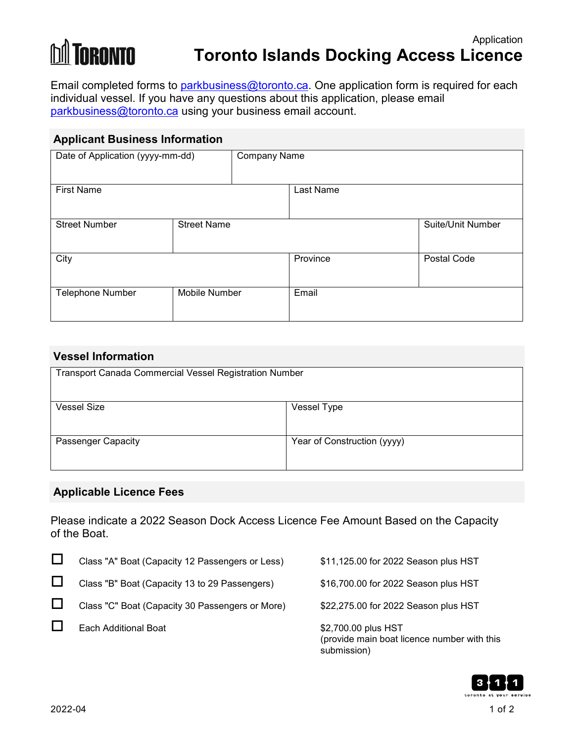# **M** TORONTO

## **Toronto Islands Docking Access Licence**

Email completed forms to [parkbusiness@toronto.ca.](mailto:parkbusiness@toronto.ca) One application form is required for each individual vessel. If you have any questions about this application, please email [parkbusiness@toronto.ca](mailto:parkbusiness@toronto.ca)</u> using your business email account.

| <b>Applicant Business Information</b> |                      |                     |                   |  |  |
|---------------------------------------|----------------------|---------------------|-------------------|--|--|
| Date of Application (yyyy-mm-dd)      |                      | <b>Company Name</b> |                   |  |  |
| <b>First Name</b>                     |                      | Last Name           |                   |  |  |
| <b>Street Number</b>                  | <b>Street Name</b>   |                     | Suite/Unit Number |  |  |
| City                                  |                      | Province            | Postal Code       |  |  |
| <b>Telephone Number</b>               | <b>Mobile Number</b> | Email               |                   |  |  |

| <b>Vessel Information</b>                              |                             |  |  |  |
|--------------------------------------------------------|-----------------------------|--|--|--|
| Transport Canada Commercial Vessel Registration Number |                             |  |  |  |
|                                                        |                             |  |  |  |
| <b>Vessel Size</b>                                     | Vessel Type                 |  |  |  |
| <b>Passenger Capacity</b>                              | Year of Construction (yyyy) |  |  |  |

#### **Applicable Licence Fees**

Please indicate a 2022 Season Dock Access Licence Fee Amount Based on the Capacity of the Boat.

| Class "A" Boat (Capacity 12 Passengers or Less) | \$11,125.00 for 2022 Season plus HST                                              |
|-------------------------------------------------|-----------------------------------------------------------------------------------|
| Class "B" Boat (Capacity 13 to 29 Passengers)   | \$16,700.00 for 2022 Season plus HST                                              |
| Class "C" Boat (Capacity 30 Passengers or More) | \$22,275.00 for 2022 Season plus HST                                              |
| Each Additional Boat                            | \$2,700.00 plus HST<br>(provide main boat licence number with this<br>submission) |